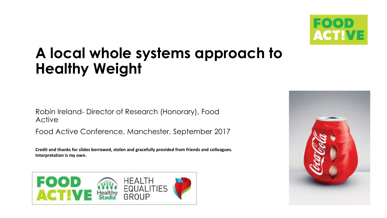

### **A local whole systems approach to Healthy Weight**

Robin Ireland- Director of Research (Honorary), Food Active

Food Active Conference, Manchester, September 2017

**Credit and thanks for slides borrowed, stolen and gracefully provided from friends and colleagues. Interpretation is my own.**



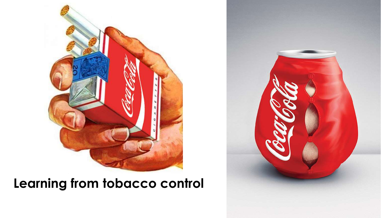

#### **Learning from tobacco control**

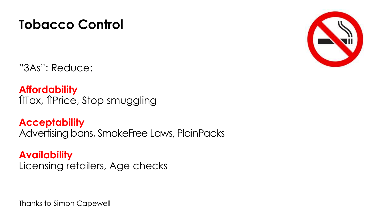#### **Tobacco Control**

"3As": Reduce:

**Affordability** filax, filtrice, Stop smuggling

**Acceptability** Advertising bans, SmokeFree Laws, PlainPacks

**Availability** Licensing retailers, Age checks



Thanks to Simon Capewell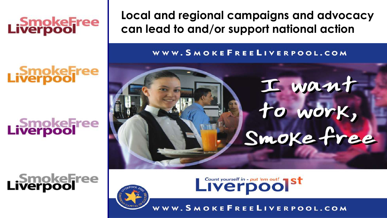## **Liverpool**

# **Liverpool**

# **Liverpool**

## **Liverpool**

**Local and regional campaigns and advocacy can lead to and/or support national action**

WWW.SMOKEFREELIVERPOOL.COM





Liverpool Friday

WWW.SMOKEFREELIVERPOOL.COM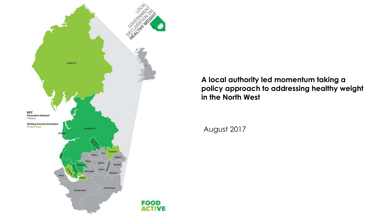

**A local authority led momentum taking a policy approach to addressing healthy weight in the North West**

August 2017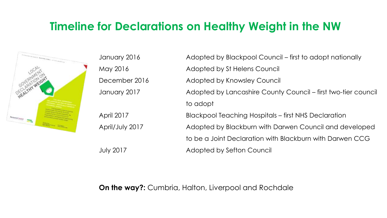#### **Timeline for Declarations on Healthy Weight in the NW**



January 2016 Adopted by Blackpool Council – first to adopt nationally May 2016 Adopted by St Helens Council December 2016 Adopted by Knowsley Council January 2017 Adopted by Lancashire County Council – first two-tier council to adopt April 2017 Blackpool Teaching Hospitals – first NHS Declaration April/July 2017 Adopted by Blackburn with Darwen Council and developed to be a Joint Declaration with Blackburn with Darwen CCG July 2017 Adopted by Sefton Council

**On the way?:** Cumbria, Halton, Liverpool and Rochdale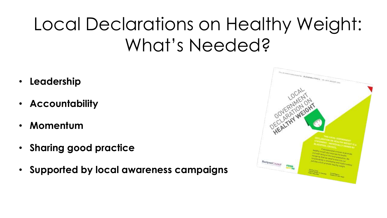## Local Declarations on Healthy Weight: What's Needed?

- **Leadership**
- **Accountability**
- **Momentum**
- **Sharing good practice**
- **Supported by local awareness campaigns**

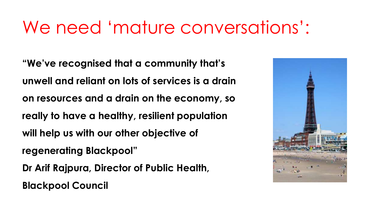### We need 'mature conversations':

**"We've recognised that a community that's unwell and reliant on lots of services is a drain on resources and a drain on the economy, so really to have a healthy, resilient population will help us with our other objective of regenerating Blackpool" Dr Arif Rajpura, Director of Public Health, Blackpool Council**

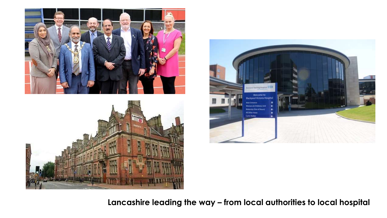





**Lancashire leading the way – from local authorities to local hospital**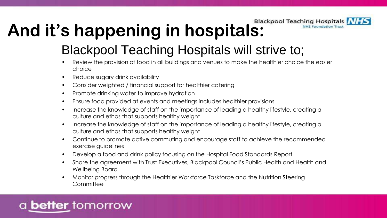

# And it's happening in hospitals:

Blackpool Teaching Hospitals will strive to;

- Review the provision of food in all buildings and venues to make the healthier choice the easier choice
- Reduce sugary drink availability
- Consider weighted / financial support for healthier catering
- Promote drinking water to improve hydration
- Ensure food provided at events and meetings includes healthier provisions
- Increase the knowledge of staff on the importance of leading a healthy lifestyle, creating a culture and ethos that supports healthy weight
- Increase the knowledge of staff on the importance of leading a healthy lifestyle, creating a culture and ethos that supports healthy weight
- Continue to promote active commuting and encourage staff to achieve the recommended exercise guidelines
- Develop a food and drink policy focusing on the Hospital Food Standards Report
- Share the agreement with Trust Executives, Blackpool Council's Public Health and Health and Wellbeing Board
- Monitor progress through the Healthier Workforce Taskforce and the Nutrition Steering **Committee**

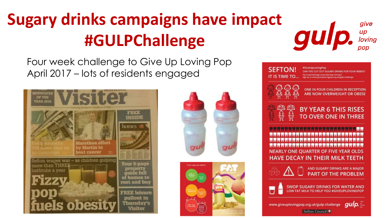#### **Sugary drinks campaigns have impact**  quip **#GULPChallenge**

Four week challenge to Give Up Loving Pop April 2017 – lots of residents engaged







give

up<br>loving

pop

Sefton Council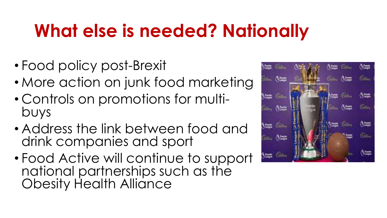## **What else is needed? Nationally**

- Food policy post-Brexit
- More action on junk food marketing
- Controls on promotions for multibuys
- Address the link between food and drink companies and sport
- Food Active will continue to support national partnerships such as the Obesity Health Alliance

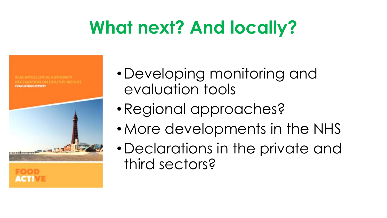## **What next? And locally?**

**BLACKPOOL LOCAL AUTHORITY** *ITION ON HEALTHY WEIGHT. EVALUATION REPORT* 



- Developing monitoring and evaluation tools
- •Regional approaches?
- More developments in the NHS
- Declarations in the private and third sectors?